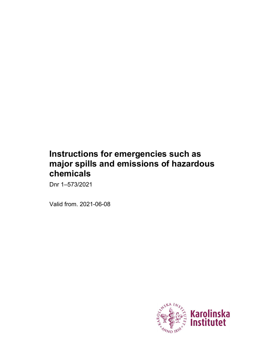# **Instructions for emergencies such as major spills and emissions of hazardous chemicals**

Dnr 1–573/2021

Valid from. 2021-06-08

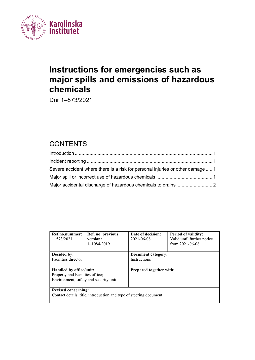

# **Instructions for emergencies such as major spills and emissions of hazardous chemicals**

Dnr 1–573/2021

## **CONTENTS**

| Severe accident where there is a risk for personal injuries or other damage  1 |  |
|--------------------------------------------------------------------------------|--|
|                                                                                |  |
|                                                                                |  |

| Ref.no.nummer:<br>$1 - 573/2021$                                                                    | Ref. no previous<br>version:<br>$1 - 1084/2019$ | Date of decision:<br>2021-06-08    | <b>Period of validity:</b><br>Valid until further notice<br>from $2021 - 06 - 08$ |  |  |
|-----------------------------------------------------------------------------------------------------|-------------------------------------------------|------------------------------------|-----------------------------------------------------------------------------------|--|--|
| Decided by:<br>Facilities director                                                                  |                                                 | Document category:<br>Instructions |                                                                                   |  |  |
| Handled by office/unit:<br>Property and Facilities office;<br>Environment, safety and security unit |                                                 | <b>Prepared together with:</b>     |                                                                                   |  |  |
| <b>Revised concerning:</b><br>Contact details, title, introduction and type of steering document    |                                                 |                                    |                                                                                   |  |  |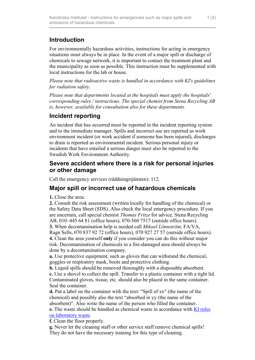## <span id="page-2-0"></span>**Introduction**

For environmentally hazardous activities, instructions for acting in emergency situations must always be in place. In the event of a major spill or discharge of chemicals to sewage network, it is important to contact the treatment plant and the municipality as soon as possible. This instruction must be supplemented with local instructions for the lab or house.

*Please note that radioactive waste is handled in accordance with KI's guidelines for radiation safety.*

*Please note that departments located at the hospitals must apply the hospitals' corresponding rules / instructions. The special chemist from Stena Recycling AB is, however, available for consultation also for these departments.*

## <span id="page-2-1"></span>**Incident reporting**

An incident that has occurred must be reported in the incident reporting system and to the immediate manager. Spills and incorrect use are reported as work environment incident (or work accident if someone has been injured), discharges to drain is reported as environmental incident. Serious personal injury or incidents that have entailed a serious danger must also be reported to the Swedish Work Environment Authority.

#### <span id="page-2-2"></span>**Severe accident where there is a risk for personal injuries or other damage**

Call the emergency services (räddningstjänsten): 112.

### <span id="page-2-3"></span>**Major spill or incorrect use of hazardous chemicals**

**1.** Close the area.

**2.** Consult the risk assessment (written locally for handling of the chemical) or the Safety Data Sheet (SDS). Also check the local emergency procedure. If you are uncertain, call special chemist *Thomas Fritze* for advice, Stena Recycling AB, 010–445 64 81 (office hours), 070-560 7517 (outside office hours). **3.** When decontamination help is needed call *Mikael Lönnström,* FA/VA, Ragn Sells, 070 837 92 72 (office hours), 070 927 27 57 (outside office hours). **4.** Clean the area yourself **only** if you consider you can do this without major risk. Decontamination of chemicals in a fire-damaged area should always be done by a decontamination company.

**a.** Use protective equipment, such as gloves that can withstand the chemical, goggles or respiratory mask, boots and protective clothing.

**b.** Liquid spills should be removed thoroughly with a disposable absorbent. **c.** Use a shovel to collect the spill. Transfer to a plastic container with a tight lid. Contaminated gloves, tissue, etc. should also be placed in the same container. Seal the container.

**d.** Put a label on the container with the text: "Spill of xx" (the name of the chemical) and possibly also the text "absorbed in yy (the name of the absorbent)". Also write the name of the person who filled the container. **e.** The waste should be handled as chemical waste in accordance with [KI rules](https://staff.ki.se/laboratory-waste)  [on laboratory waste.](https://staff.ki.se/laboratory-waste)

**f.** Clean the floor properly.

**g.** Never let the cleaning staff or other service staff remove chemical spills! They do not have the necessary training for this type of cleaning.